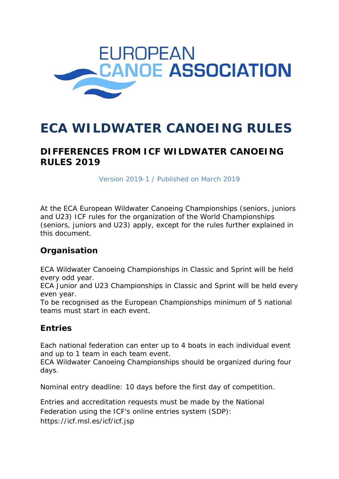

# **ECA WILDWATER CANOEING RULES**

# **DIFFERENCES FROM ICF WILDWATER CANOEING RULES 2019**

*Version 2019-1 / Published on March 2019* 

At the ECA European Wildwater Canoeing Championships (seniors, juniors and U23) ICF rules for the organization of the World Championships (seniors, juniors and U23) apply, except for the rules further explained in this document.

#### **Organisation**

ECA Wildwater Canoeing Championships in Classic and Sprint will be held every odd year.

ECA Junior and U23 Championships in Classic and Sprint will be held every even year.

To be recognised as the European Championships minimum of 5 national teams must start in each event.

## **Entries**

Each national federation can enter up to 4 boats in each individual event and up to 1 team in each team event.

ECA Wildwater Canoeing Championships should be organized during four days.

Nominal entry deadline: 10 days before the first day of competition.

Entries and accreditation requests must be made by the National Federation using the ICF's online entries system (SDP): https://icf.msl.es/icf/icf.jsp